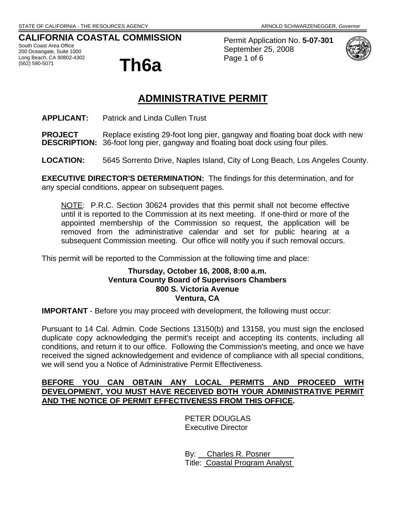# **CALIFORNIA COASTAL COMMISSION**

South Coast Area Office 200 Oceangate, Suite 1000 Long Beach, CA 90802-4302<br>(562) 590-5071



Permit Application No. **5-07-301** September 25, 2008 Page 1 of 6



# **ADMINISTRATIVE PERMIT**

**APPLICANT:** Patrick and Linda Cullen Trust

**PROJECT** Replace existing 29-foot long pier, gangway and floating boat dock with new<br>**DESCRIPTION:** 36-foot long pier. gangway and floating boat dock using four piles. 36-foot long pier, gangway and floating boat dock using four piles.

**LOCATION:** 5645 Sorrento Drive, Naples Island, City of Long Beach, Los Angeles County.

**EXECUTIVE DIRECTOR'S DETERMINATION:** The findings for this determination, and for any special conditions, appear on subsequent pages.

NOTE: P.R.C. Section 30624 provides that this permit shall not become effective until it is reported to the Commission at its next meeting. If one-third or more of the appointed membership of the Commission so request, the application will be removed from the administrative calendar and set for public hearing at a subsequent Commission meeting. Our office will notify you if such removal occurs.

This permit will be reported to the Commission at the following time and place:

# **Thursday, October 16, 2008, 8:00 a.m. Ventura County Board of Supervisors Chambers 800 S. Victoria Avenue Ventura, CA**

**IMPORTANT** - Before you may proceed with development, the following must occur:

Pursuant to 14 Cal. Admin. Code Sections 13150(b) and 13158, you must sign the enclosed duplicate copy acknowledging the permit's receipt and accepting its contents, including all conditions, and return it to our office. Following the Commission's meeting, and once we have received the signed acknowledgement and evidence of compliance with all special conditions, we will send you a Notice of Administrative Permit Effectiveness.

# **BEFORE YOU CAN OBTAIN ANY LOCAL PERMITS AND PROCEED WITH DEVELOPMENT, YOU MUST HAVE RECEIVED BOTH YOUR ADMINISTRATIVE PERMIT AND THE NOTICE OF PERMIT EFFECTIVENESS FROM THIS OFFICE.**

 PETER DOUGLAS Executive Director

 By: Charles R. Posner Title: Coastal Program Analyst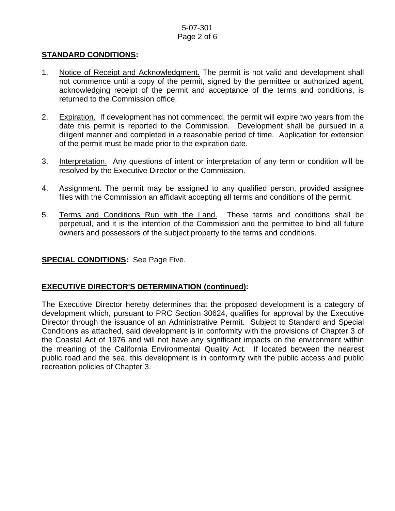# 5-07-301 Page 2 of 6

# **STANDARD CONDITIONS:**

- 1. Notice of Receipt and Acknowledgment. The permit is not valid and development shall not commence until a copy of the permit, signed by the permittee or authorized agent, acknowledging receipt of the permit and acceptance of the terms and conditions, is returned to the Commission office.
- 2. Expiration. If development has not commenced, the permit will expire two years from the date this permit is reported to the Commission. Development shall be pursued in a diligent manner and completed in a reasonable period of time. Application for extension of the permit must be made prior to the expiration date.
- 3. Interpretation. Any questions of intent or interpretation of any term or condition will be resolved by the Executive Director or the Commission.
- 4. Assignment. The permit may be assigned to any qualified person, provided assignee files with the Commission an affidavit accepting all terms and conditions of the permit.
- 5. Terms and Conditions Run with the Land. These terms and conditions shall be perpetual, and it is the intention of the Commission and the permittee to bind all future owners and possessors of the subject property to the terms and conditions.

# **SPECIAL CONDITIONS:** See Page Five.

# **EXECUTIVE DIRECTOR'S DETERMINATION (continued):**

The Executive Director hereby determines that the proposed development is a category of development which, pursuant to PRC Section 30624, qualifies for approval by the Executive Director through the issuance of an Administrative Permit. Subject to Standard and Special Conditions as attached, said development is in conformity with the provisions of Chapter 3 of the Coastal Act of 1976 and will not have any significant impacts on the environment within the meaning of the California Environmental Quality Act. If located between the nearest public road and the sea, this development is in conformity with the public access and public recreation policies of Chapter 3.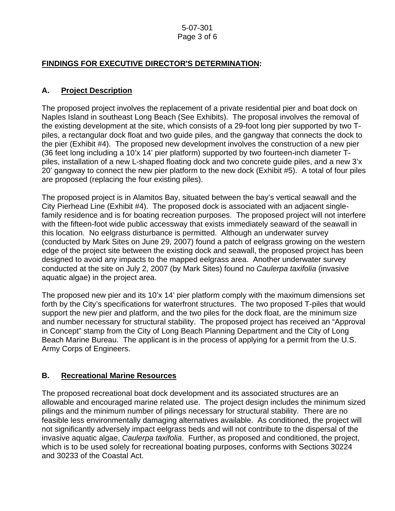#### 5-07-301 Page 3 of 6

# **FINDINGS FOR EXECUTIVE DIRECTOR'S DETERMINATION:**

# **A. Project Description**

The proposed project involves the replacement of a private residential pier and boat dock on Naples Island in southeast Long Beach (See Exhibits). The proposal involves the removal of the existing development at the site, which consists of a 29-foot long pier supported by two Tpiles, a rectangular dock float and two guide piles, and the gangway that connects the dock to the pier (Exhibit #4). The proposed new development involves the construction of a new pier (36 feet long including a 10'x 14' pier platform) supported by two fourteen-inch diameter Tpiles, installation of a new L-shaped floating dock and two concrete guide piles, and a new 3'x 20' gangway to connect the new pier platform to the new dock (Exhibit #5). A total of four piles are proposed (replacing the four existing piles).

The proposed project is in Alamitos Bay, situated between the bay's vertical seawall and the City Pierhead Line (Exhibit #4). The proposed dock is associated with an adjacent singlefamily residence and is for boating recreation purposes. The proposed project will not interfere with the fifteen-foot wide public accessway that exists immediately seaward of the seawall in this location. No eelgrass disturbance is permitted. Although an underwater survey (conducted by Mark Sites on June 29, 2007) found a patch of eelgrass growing on the western edge of the project site between the existing dock and seawall, the proposed project has been designed to avoid any impacts to the mapped eelgrass area. Another underwater survey conducted at the site on July 2, 2007 (by Mark Sites) found no *Caulerpa taxifolia* (invasive aquatic algae) in the project area.

The proposed new pier and its 10'x 14' pier platform comply with the maximum dimensions set forth by the City's specifications for waterfront structures. The two proposed T-piles that would support the new pier and platform, and the two piles for the dock float, are the minimum size and number necessary for structural stability. The proposed project has received an "Approval in Concept" stamp from the City of Long Beach Planning Department and the City of Long Beach Marine Bureau. The applicant is in the process of applying for a permit from the U.S. Army Corps of Engineers.

# **B. Recreational Marine Resources**

The proposed recreational boat dock development and its associated structures are an allowable and encouraged marine related use. The project design includes the minimum sized pilings and the minimum number of pilings necessary for structural stability. There are no feasible less environmentally damaging alternatives available. As conditioned, the project will not significantly adversely impact eelgrass beds and will not contribute to the dispersal of the invasive aquatic algae, *Caulerpa taxifolia*. Further, as proposed and conditioned, the project, which is to be used solely for recreational boating purposes, conforms with Sections 30224 and 30233 of the Coastal Act.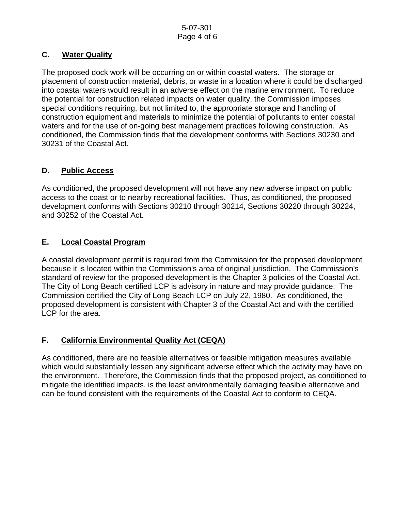# **C. Water Quality**

The proposed dock work will be occurring on or within coastal waters. The storage or placement of construction material, debris, or waste in a location where it could be discharged into coastal waters would result in an adverse effect on the marine environment. To reduce the potential for construction related impacts on water quality, the Commission imposes special conditions requiring, but not limited to, the appropriate storage and handling of construction equipment and materials to minimize the potential of pollutants to enter coastal waters and for the use of on-going best management practices following construction. As conditioned, the Commission finds that the development conforms with Sections 30230 and 30231 of the Coastal Act.

# **D. Public Access**

As conditioned, the proposed development will not have any new adverse impact on public access to the coast or to nearby recreational facilities. Thus, as conditioned, the proposed development conforms with Sections 30210 through 30214, Sections 30220 through 30224, and 30252 of the Coastal Act.

# **E. Local Coastal Program**

A coastal development permit is required from the Commission for the proposed development because it is located within the Commission's area of original jurisdiction. The Commission's standard of review for the proposed development is the Chapter 3 policies of the Coastal Act. The City of Long Beach certified LCP is advisory in nature and may provide guidance. The Commission certified the City of Long Beach LCP on July 22, 1980. As conditioned, the proposed development is consistent with Chapter 3 of the Coastal Act and with the certified LCP for the area.

# **F. California Environmental Quality Act (CEQA)**

As conditioned, there are no feasible alternatives or feasible mitigation measures available which would substantially lessen any significant adverse effect which the activity may have on the environment. Therefore, the Commission finds that the proposed project, as conditioned to mitigate the identified impacts, is the least environmentally damaging feasible alternative and can be found consistent with the requirements of the Coastal Act to conform to CEQA.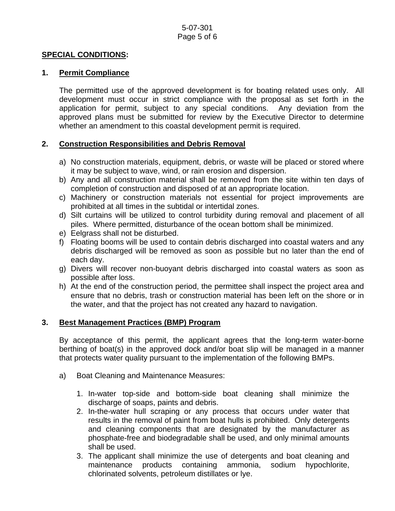#### **SPECIAL CONDITIONS:**

#### **1. Permit Compliance**

 The permitted use of the approved development is for boating related uses only. All development must occur in strict compliance with the proposal as set forth in the application for permit, subject to any special conditions. Any deviation from the approved plans must be submitted for review by the Executive Director to determine whether an amendment to this coastal development permit is required.

# **2. Construction Responsibilities and Debris Removal**

- a) No construction materials, equipment, debris, or waste will be placed or stored where it may be subject to wave, wind, or rain erosion and dispersion.
- b) Any and all construction material shall be removed from the site within ten days of completion of construction and disposed of at an appropriate location.
- c) Machinery or construction materials not essential for project improvements are prohibited at all times in the subtidal or intertidal zones.
- d) Silt curtains will be utilized to control turbidity during removal and placement of all piles. Where permitted, disturbance of the ocean bottom shall be minimized.
- e) Eelgrass shall not be disturbed.
- f) Floating booms will be used to contain debris discharged into coastal waters and any debris discharged will be removed as soon as possible but no later than the end of each day.
- g) Divers will recover non-buoyant debris discharged into coastal waters as soon as possible after loss.
- h) At the end of the construction period, the permittee shall inspect the project area and ensure that no debris, trash or construction material has been left on the shore or in the water, and that the project has not created any hazard to navigation.

#### **3. Best Management Practices (BMP) Program**

By acceptance of this permit, the applicant agrees that the long-term water-borne berthing of boat(s) in the approved dock and/or boat slip will be managed in a manner that protects water quality pursuant to the implementation of the following BMPs.

- a) Boat Cleaning and Maintenance Measures:
	- 1. In-water top-side and bottom-side boat cleaning shall minimize the discharge of soaps, paints and debris.
	- 2. In-the-water hull scraping or any process that occurs under water that results in the removal of paint from boat hulls is prohibited. Only detergents and cleaning components that are designated by the manufacturer as phosphate-free and biodegradable shall be used, and only minimal amounts shall be used.
	- 3. The applicant shall minimize the use of detergents and boat cleaning and maintenance products containing ammonia, sodium hypochlorite, chlorinated solvents, petroleum distillates or lye.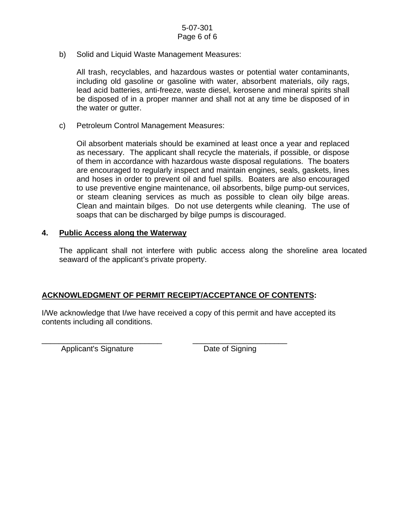b) Solid and Liquid Waste Management Measures:

All trash, recyclables, and hazardous wastes or potential water contaminants, including old gasoline or gasoline with water, absorbent materials, oily rags, lead acid batteries, anti-freeze, waste diesel, kerosene and mineral spirits shall be disposed of in a proper manner and shall not at any time be disposed of in the water or gutter.

c) Petroleum Control Management Measures:

Oil absorbent materials should be examined at least once a year and replaced as necessary. The applicant shall recycle the materials, if possible, or dispose of them in accordance with hazardous waste disposal regulations. The boaters are encouraged to regularly inspect and maintain engines, seals, gaskets, lines and hoses in order to prevent oil and fuel spills. Boaters are also encouraged to use preventive engine maintenance, oil absorbents, bilge pump-out services, or steam cleaning services as much as possible to clean oily bilge areas. Clean and maintain bilges. Do not use detergents while cleaning. The use of soaps that can be discharged by bilge pumps is discouraged.

#### **4. Public Access along the Waterway**

The applicant shall not interfere with public access along the shoreline area located seaward of the applicant's private property.

# **ACKNOWLEDGMENT OF PERMIT RECEIPT/ACCEPTANCE OF CONTENTS:**

\_\_\_\_\_\_\_\_\_\_\_\_\_\_\_\_\_\_\_\_\_\_\_\_\_\_\_\_ \_\_\_\_\_\_\_\_\_\_\_\_\_\_\_\_\_\_\_\_\_\_

I/We acknowledge that I/we have received a copy of this permit and have accepted its contents including all conditions.

Applicant's Signature Date of Signing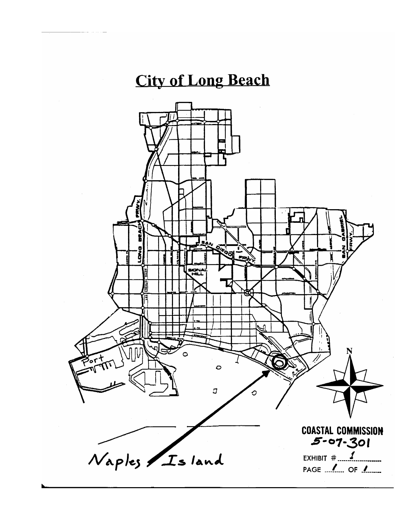# **City of Long Beach**

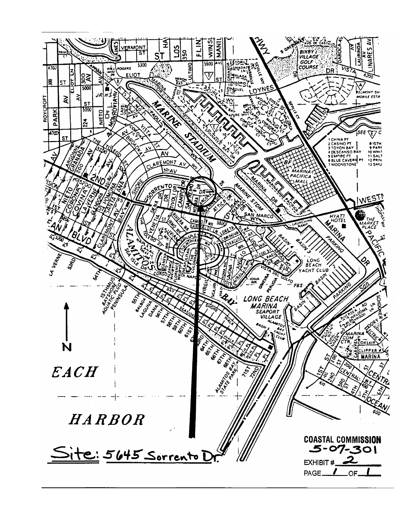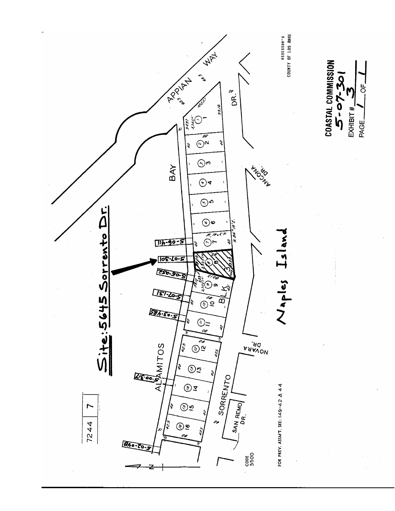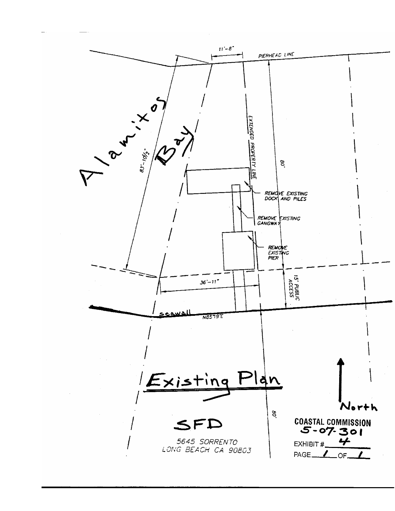